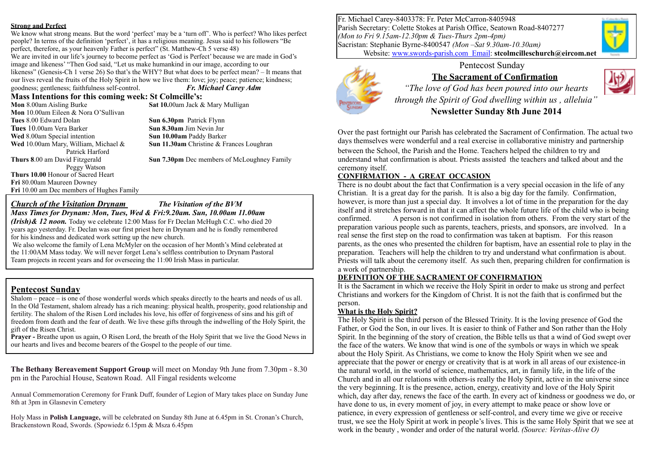#### **Strong and Perfect**

We know what strong means. But the word 'perfect' may be a 'turn off'. Who is perfect? Who likes perfect people? In terms of the definition 'perfect', it has a religious meaning. Jesus said to his followers "Be perfect, therefore, as your heavenly Father is perfect" (St. Matthew-Ch 5 verse 48) We are invited in our life's journey to become perfect as 'God is Perfect' because we are made in God's image and likeness' "Then God said, "Let us make humankind in our image, according to our likeness" (Genesis-Ch 1 verse 26) So that's the WHY? But what does to be perfect mean? – It means that our lives reveal the fruits of the Holy Spirit in how we live them: love; joy; peace; patience; kindness;

goodness; gentleness; faithfulness self-control. *Fr. Michael Carey Adm*

# **Mass Intentions for this coming week: St Colmcille's:**<br>Mon 8.00am Aisling Burke<br>Sat 10.00am Jack &

**Mon** 10.00am Eileen & Nora O'Sullivan **Tues** 8.00 Edward Dolan **Sun 6.30pm** Patrick Flynn **Tues** 10.00am Vera Barker **Sun 8.30am** Jim Nevin Jnr **Wed** 8.00am Special intention<br> **Sun 10.00am** Paddy Barker<br> **Wed** 10.00am Mary. William. Michael & **Sun 11.30am** Christine & Fi Patrick Harford Peggy Watson **Thurs 10.00** Honour of Sacred Heart **Fri** 80.00am Maureen Downey **Fri** 10.00 am Dec members of Hughes Family

**Sat 10.00am Jack & Mary Mulligan** 

**Sun 11.30am Christine & Frances Loughran** 

**Thurs 8**.00 am David Fitzgerald **Sun 7.30pm** Dec members of McLoughney Family

*Church of the Visitation Drynam The Visitation of the BVM Mass Times for Drynam: Mon, Tues, Wed & Fri:9.20am. Sun, 10.00am 11.00am* 

*(Irish)& 12 noon.* Today we celebrate 12:00 Mass for Fr Declan McHugh C.C. who died 20 years ago yesterday. Fr. Declan was our first priest here in Drynam and he is fondly remembered for his kindness and dedicated work setting up the new church.

 We also welcome the family of Lena McMyler on the occasion of her Month's Mind celebrated at the 11:00AM Mass today. We will never forget Lena's selfless contribution to Drynam Pastoral Team projects in recent years and for overseeing the 11:00 Irish Mass in particular.

#### **Pentecost Sunday**

Shalom – peace – is one of those wonderful words which speaks directly to the hearts and needs of us all. In the Old Testament, shalom already has a rich meaning: physical health, prosperity, good relationship and fertility. The shalom of the Risen Lord includes his love, his offer of forgiveness of sins and his gift of freedom from death and the fear of death. We live these gifts through the indwelling of the Holy Spirit, the gift of the Risen Christ.

**Prayer -** Breathe upon us again, O Risen Lord, the breath of the Holy Spirit that we live the Good News in our hearts and lives and become bearers of the Gospel to the people of our time.

**The Bethany Bereavement Support Group** will meet on Monday 9th June from 7.30pm - 8.30 pm in the Parochial House, Seatown Road. All Fingal residents welcome

Annual Commemoration Ceremony for Frank Duff, founder of Legion of Mary takes place on Sunday June 8th at 3pm in Glasnevin Cemetery

Holy Mass in **Polish Language,** will be celebrated on Sunday 8th June at 6.45pm in St. Cronan's Church, Brackenstown Road, Swords. (Spowiedz 6.15pm & Msza 6.45pm

Fr. Michael Carey-8403378: Fr. Peter McCarron-8405948 Parish Secretary: Colette Stokes at Parish Office, Seatown Road-8407277 *(Mon to Fri 9.15am-12.30pm & Tues-Thurs 2pm-4pm)* Sacristan: Stephanie Byrne-8400547 *(Mon –Sat 9.30am-10.30am)* Website: [www.swords-parish.com Email](http://www.swords-parish.com%20%20email): **stcolmcilleschurch@eircom.net**



#### Pentecost Sunday **The Sacrament of Confirmation**



*"The love of God has been poured into our hearts through the Spirit of God dwelling within us , alleluia"*  **Newsletter Sunday 8th June 2014** 

Over the past fortnight our Parish has celebrated the Sacrament of Confirmation. The actual two days themselves were wonderful and a real exercise in collaborative ministry and partnership between the School, the Parish and the Home. Teachers helped the children to try and understand what confirmation is about. Priests assisted the teachers and talked about and the ceremony itself.

### **CONFIRMATION - A GREAT OCCASION**

There is no doubt about the fact that Confirmation is a very special occasion in the life of any Christian. It is a great day for the parish. It is also a big day for the family. Confirmation, however, is more than just a special day. It involves a lot of time in the preparation for the day itself and it stretches forward in that it can affect the whole future life of the child who is being confirmed. A person is not confirmed in isolation from others. From the very start of the preparation various people such as parents, teachers, priests, and sponsors, are involved. In a real sense the first step on the road to confirmation was taken at baptism. For this reason parents, as the ones who presented the children for baptism, have an essential role to play in the preparation. Teachers will help the children to try and understand what confirmation is about. Priests will talk about the ceremony itself. As such then, preparing children for confirmation is a work of partnership.

#### **DEFINITION OF THE SACRAMENT OF CONFIRMATION**

It is the Sacrament in which we receive the Holy Spirit in order to make us strong and perfect Christians and workers for the Kingdom of Christ. It is not the faith that is confirmed but the person.

#### **What is the Holy Spirit?**

The Holy Spirit is the third person of the Blessed Trinity. It is the loving presence of God the Father, or God the Son, in our lives. It is easier to think of Father and Son rather than the Holy Spirit. In the beginning of the story of creation, the Bible tells us that a wind of God swept over the face of the waters. We know that wind is one of the symbols or ways in which we speak about the Holy Spirit. As Christians, we come to know the Holy Spirit when we see and appreciate that the power or energy or creativity that is at work in all areas of our existence-in the natural world, in the world of science, mathematics, art, in family life, in the life of the Church and in all our relations with others-is really the Holy Spirit, active in the universe since the very beginning. It is the presence, action, energy, creativity and love of the Holy Spirit which, day after day, renews the face of the earth. In every act of kindness or goodness we do, or have done to us, in every moment of joy, in every attempt to make peace or show love or patience, in every expression of gentleness or self-control, and every time we give or receive trust, we see the Holy Spirit at work in people's lives. This is the same Holy Spirit that we see at work in the beauty , wonder and order of the natural world. *(Source: Veritas-Alive O)*